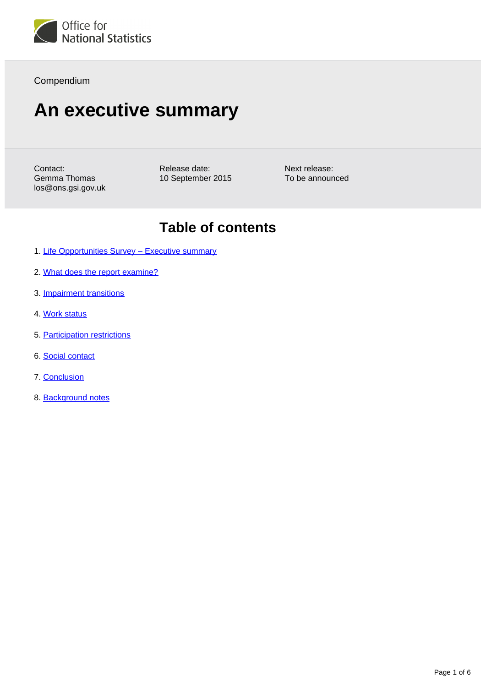

Compendium

# **An executive summary**

Contact: Gemma Thomas los@ons.gsi.gov.uk Release date: 10 September 2015

Next release: To be announced

## **Table of contents**

- 1. Life Opportunities Survey Executive summary
- 2. [What does the report examine?](#page-1-1)
- 3. [Impairment transitions](#page-2-0)
- 4. [Work status](#page-3-0)
- 5. [Participation restrictions](#page-4-0)
- 6. [Social contact](#page-4-1)
- 7. [Conclusion](#page-5-0)
- 8. Background notes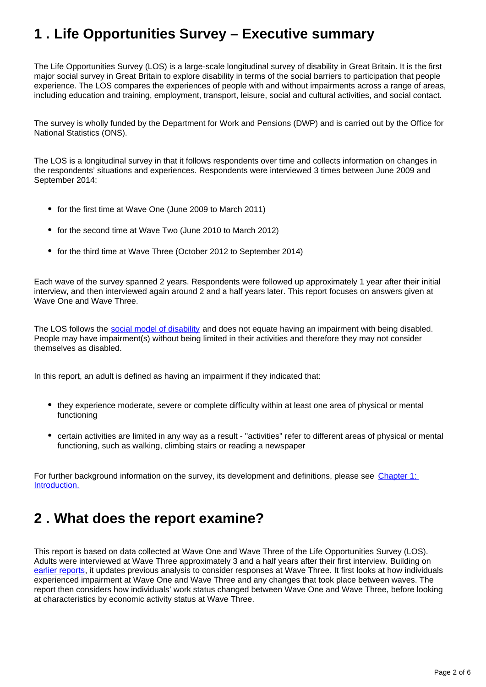## <span id="page-1-0"></span>**1 . Life Opportunities Survey – Executive summary**

The Life Opportunities Survey (LOS) is a large-scale longitudinal survey of disability in Great Britain. It is the first major social survey in Great Britain to explore disability in terms of the social barriers to participation that people experience. The LOS compares the experiences of people with and without impairments across a range of areas, including education and training, employment, transport, leisure, social and cultural activities, and social contact.

The survey is wholly funded by the Department for Work and Pensions (DWP) and is carried out by the Office for National Statistics (ONS).

The LOS is a longitudinal survey in that it follows respondents over time and collects information on changes in the respondents' situations and experiences. Respondents were interviewed 3 times between June 2009 and September 2014:

- for the first time at Wave One (June 2009 to March 2011)
- for the second time at Wave Two (June 2010 to March 2012)
- for the third time at Wave Three (October 2012 to September 2014)

Each wave of the survey spanned 2 years. Respondents were followed up approximately 1 year after their initial interview, and then interviewed again around 2 and a half years later. This report focuses on answers given at Wave One and Wave Three.

The LOS follows the [social model of disability](http://www.ons.gov.uk/ons/rel/los/life-opportunities-survey/wave-three--final-report--october-2012-to-september-2014/rpt-chapter-1.html) and does not equate having an impairment with being disabled. People may have impairment(s) without being limited in their activities and therefore they may not consider themselves as disabled.

In this report, an adult is defined as having an impairment if they indicated that:

- they experience moderate, severe or complete difficulty within at least one area of physical or mental functioning
- certain activities are limited in any way as a result "activities" refer to different areas of physical or mental functioning, such as walking, climbing stairs or reading a newspaper

For further background information on the survey, its development and definitions, please see Chapter 1: [Introduction.](http://www.ons.gov.uk/ons/rel/los/life-opportunities-survey/wave-three--final-report--october-2012-to-september-2014/rpt-chapter-1.html)

## <span id="page-1-1"></span>**2 . What does the report examine?**

This report is based on data collected at Wave One and Wave Three of the Life Opportunities Survey (LOS). Adults were interviewed at Wave Three approximately 3 and a half years after their first interview. Building on [earlier reports](http://www.ons.gov.uk/ons/rel/los/life-opportunities-survey/index.html), it updates previous analysis to consider responses at Wave Three. It first looks at how individuals experienced impairment at Wave One and Wave Three and any changes that took place between waves. The report then considers how individuals' work status changed between Wave One and Wave Three, before looking at characteristics by economic activity status at Wave Three.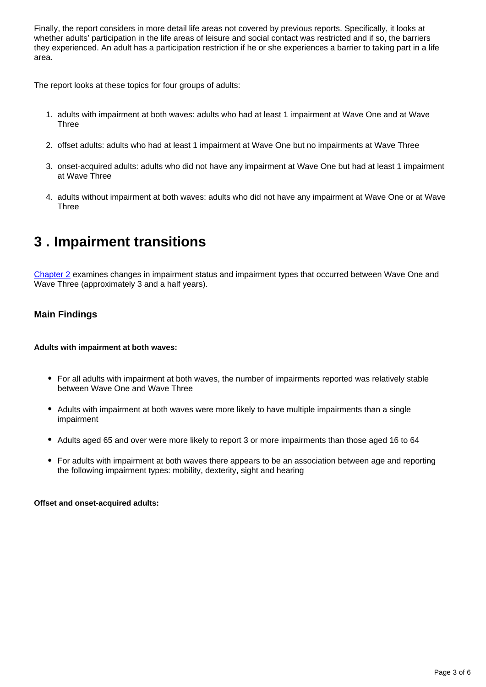Finally, the report considers in more detail life areas not covered by previous reports. Specifically, it looks at whether adults' participation in the life areas of leisure and social contact was restricted and if so, the barriers they experienced. An adult has a participation restriction if he or she experiences a barrier to taking part in a life area.

The report looks at these topics for four groups of adults:

- 1. adults with impairment at both waves: adults who had at least 1 impairment at Wave One and at Wave **Three**
- 2. offset adults: adults who had at least 1 impairment at Wave One but no impairments at Wave Three
- 3. onset-acquired adults: adults who did not have any impairment at Wave One but had at least 1 impairment at Wave Three
- 4. adults without impairment at both waves: adults who did not have any impairment at Wave One or at Wave **Three**

## <span id="page-2-0"></span>**3 . Impairment transitions**

[Chapter 2](http://www.ons.gov.uk/ons/rel/los/life-opportunities-survey/wave-three--final-report--october-2012-to-september-2014/rpt-chapter-2.html) examines changes in impairment status and impairment types that occurred between Wave One and Wave Three (approximately 3 and a half years).

### **Main Findings**

**Adults with impairment at both waves:**

- For all adults with impairment at both waves, the number of impairments reported was relatively stable between Wave One and Wave Three
- Adults with impairment at both waves were more likely to have multiple impairments than a single impairment
- Adults aged 65 and over were more likely to report 3 or more impairments than those aged 16 to 64
- For adults with impairment at both waves there appears to be an association between age and reporting the following impairment types: mobility, dexterity, sight and hearing

**Offset and onset-acquired adults:**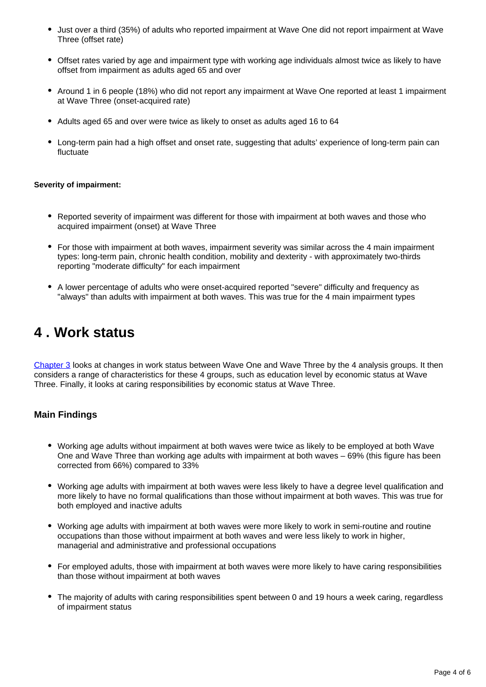- Just over a third (35%) of adults who reported impairment at Wave One did not report impairment at Wave Three (offset rate)
- Offset rates varied by age and impairment type with working age individuals almost twice as likely to have offset from impairment as adults aged 65 and over
- Around 1 in 6 people (18%) who did not report any impairment at Wave One reported at least 1 impairment at Wave Three (onset-acquired rate)
- Adults aged 65 and over were twice as likely to onset as adults aged 16 to 64
- Long-term pain had a high offset and onset rate, suggesting that adults' experience of long-term pain can fluctuate

#### **Severity of impairment:**

- Reported severity of impairment was different for those with impairment at both waves and those who acquired impairment (onset) at Wave Three
- For those with impairment at both waves, impairment severity was similar across the 4 main impairment types: long-term pain, chronic health condition, mobility and dexterity - with approximately two-thirds reporting "moderate difficulty" for each impairment
- A lower percentage of adults who were onset-acquired reported "severe" difficulty and frequency as "always" than adults with impairment at both waves. This was true for the 4 main impairment types

### <span id="page-3-0"></span>**4 . Work status**

[Chapter 3](http://www.ons.gov.uk/ons/rel/los/life-opportunities-survey/wave-three--final-report--october-2012-to-september-2014/rpt-chapter-3.html) looks at changes in work status between Wave One and Wave Three by the 4 analysis groups. It then considers a range of characteristics for these 4 groups, such as education level by economic status at Wave Three. Finally, it looks at caring responsibilities by economic status at Wave Three.

### **Main Findings**

- Working age adults without impairment at both waves were twice as likely to be employed at both Wave One and Wave Three than working age adults with impairment at both waves – 69% (this figure has been corrected from 66%) compared to 33%
- Working age adults with impairment at both waves were less likely to have a degree level qualification and more likely to have no formal qualifications than those without impairment at both waves. This was true for both employed and inactive adults
- Working age adults with impairment at both waves were more likely to work in semi-routine and routine occupations than those without impairment at both waves and were less likely to work in higher, managerial and administrative and professional occupations
- For employed adults, those with impairment at both waves were more likely to have caring responsibilities than those without impairment at both waves
- The majority of adults with caring responsibilities spent between 0 and 19 hours a week caring, regardless of impairment status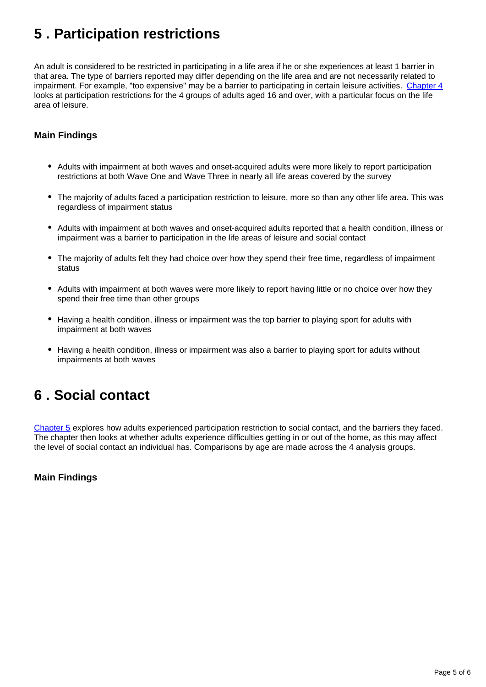## <span id="page-4-0"></span>**5 . Participation restrictions**

An adult is considered to be restricted in participating in a life area if he or she experiences at least 1 barrier in that area. The type of barriers reported may differ depending on the life area and are not necessarily related to impairment. For example, "too expensive" may be a barrier to participating in certain leisure activities. [Chapter 4](http://www.ons.gov.uk/ons/rel/los/life-opportunities-survey/wave-three--final-report--october-2012-to-september-2014/rpt-chapter-4.html) looks at participation restrictions for the 4 groups of adults aged 16 and over, with a particular focus on the life area of leisure.

### **Main Findings**

- Adults with impairment at both waves and onset-acquired adults were more likely to report participation restrictions at both Wave One and Wave Three in nearly all life areas covered by the survey
- The majority of adults faced a participation restriction to leisure, more so than any other life area. This was regardless of impairment status
- Adults with impairment at both waves and onset-acquired adults reported that a health condition, illness or impairment was a barrier to participation in the life areas of leisure and social contact
- The majority of adults felt they had choice over how they spend their free time, regardless of impairment status
- Adults with impairment at both waves were more likely to report having little or no choice over how they spend their free time than other groups
- Having a health condition, illness or impairment was the top barrier to playing sport for adults with impairment at both waves
- Having a health condition, illness or impairment was also a barrier to playing sport for adults without impairments at both waves

## <span id="page-4-1"></span>**6 . Social contact**

[Chapter 5](http://www.ons.gov.uk/ons/rel/los/life-opportunities-survey/wave-three--final-report--october-2012-to-september-2014/rpt-chapter-5.html) explores how adults experienced participation restriction to social contact, and the barriers they faced. The chapter then looks at whether adults experience difficulties getting in or out of the home, as this may affect the level of social contact an individual has. Comparisons by age are made across the 4 analysis groups.

**Main Findings**